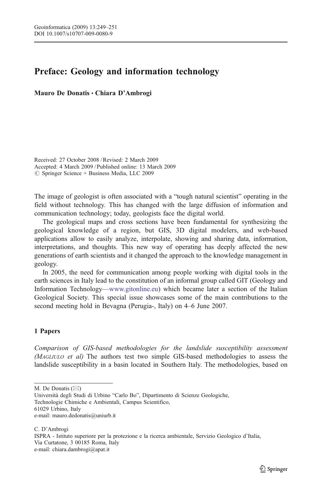## Preface: Geology and information technology

Mauro De Donatis *&* Chiara D'Ambrogi

Received: 27 October 2008 /Revised: 2 March 2009 Accepted: 4 March 2009 / Published online: 13 March 2009  $\oslash$  Springer Science + Business Media, LLC 2009

The image of geologist is often associated with a "tough natural scientist" operating in the field without technology. This has changed with the large diffusion of information and communication technology; today, geologists face the digital world.

The geological maps and cross sections have been fundamental for synthesizing the geological knowledge of a region, but GIS, 3D digital modelers, and web-based applications allow to easily analyze, interpolate, showing and sharing data, information, interpretations, and thoughts. This new way of operating has deeply affected the new generations of earth scientists and it changed the approach to the knowledge management in geology.

In 2005, the need for communication among people working with digital tools in the earth sciences in Italy lead to the constitution of an informal group called GIT (Geology and Information Technology—[www.gitonline.eu\)](http://www.gitonline.eu) which became later a section of the Italian Geological Society. This special issue showcases some of the main contributions to the second meeting hold in Bevagna (Perugia-, Italy) on 4–6 June 2007.

## 1 Papers

Comparison of GIS-based methodologies for the landslide susceptibility assessment (MAGLIULO et al) The authors test two simple GIS-based methodologies to assess the landslide susceptibility in a basin located in Southern Italy. The methodologies, based on

M. De Donatis  $(\boxtimes)$ 

Università degli Studi di Urbino "Carlo Bo", Dipartimento di Scienze Geologiche, Technologie Chimiche e Ambientali, Campus Scientifico, 61029 Urbino, Italy e-mail: mauro.dedonatis@uniurb.it

C. D'Ambrogi

ISPRA - Istituto superiore per la protezione e la ricerca ambientale, Servizio Geologico d'Italia, Via Curtatone, 3 00185 Roma, Italy e-mail: chiara.dambrogi@apat.it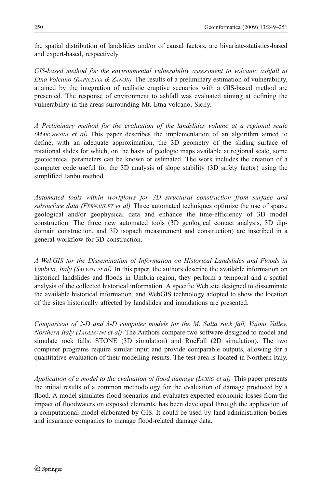the spatial distribution of landslides and/or of causal factors, are bivariate-statistics-based and expert-based, respectively.

GIS-based method for the environmental vulnerability assessment to volcanic ashfall at *Etna Volcano (RAPICETTA & ZANON)* The results of a preliminary estimation of vulnerability, attained by the integration of realistic eruptive scenarios with a GIS-based method are presented. The response of environment to ashfall was evaluated aiming at defining the vulnerability in the areas surrounding Mt. Etna volcano, Sicily.

A Preliminary method for the evaluation of the landslides volume at a regional scale (MARCHESINI et al) This paper describes the implementation of an algorithm aimed to define, with an adequate approximation, the 3D geometry of the sliding surface of rotational slides for which, on the basis of geologic maps available at regional scale, some geotechnical parameters can be known or estimated. The work includes the creation of a computer code useful for the 3D analysis of slope stability (3D safety factor) using the simplified Janbu method.

Automated tools within workflows for 3D structural construction from surface and subsurface data (FERNANDEZ et al) Three automated techniques optimize the use of sparse geological and/or geophysical data and enhance the time-efficiency of 3D model construction. The three new automated tools (3D geological contact analysis, 3D dipdomain construction, and 3D isopach measurement and construction) are inscribed in a general workflow for 3D construction.

A WebGIS for the Dissemination of Information on Historical Landslides and Floods in Umbria, Italy (SALVATI et al) In this paper, the authors describe the available information on historical landslides and floods in Umbria region, they perform a temporal and a spatial analysis of the collected historical information. A specific Web site designed to disseminate the available historical information, and WebGIS technology adopted to show the location of the sites historically affected by landslides and inundations are presented.

Comparison of 2-D and 3-D computer models for the M. Salta rock fall, Vajont Valley, Northern Italy (TAGLIAVINI et al) The Authors compare two software designed to model and simulate rock falls: STONE (3D simulation) and RocFall (2D simulation). The two computer programs require similar input and provide comparable outputs, allowing for a quantitative evaluation of their modelling results. The test area is located in Northern Italy.

Application of a model to the evaluation of flood damage (LUINO et al) This paper presents the initial results of a common methodology for the evaluation of damage produced by a flood. A model simulates flood scenarios and evaluates expected economic losses from the impact of floodwaters on exposed elements, has been developed through the application of a computational model elaborated by GIS. It could be used by land administration bodies and insurance companies to manage flood-related damage data.